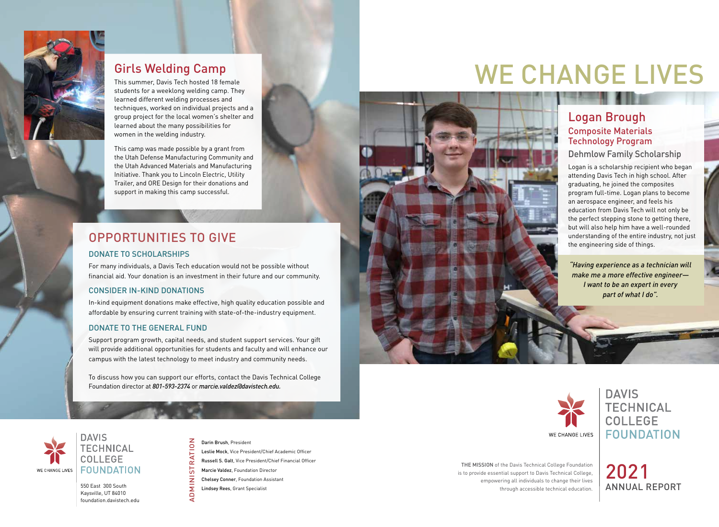

## Girls Welding Camp

This summer, Davis Tech hosted 18 female students for a weeklong welding camp. They learned different welding processes and techniques, worked on individual projects and a group project for the local women's shelter and learned about the many possibilities for women in the welding industry.

This camp was made possible by a grant from the Utah Defense Manufacturing Community and the Utah Advanced Materials and Manufacturing Initiative. Thank you to Lincoln Electric, Utility Trailer, and ORE Design for their donations and support in making this camp successful.

## OPPORTUNITIES TO GIVE

### DONATE TO SCHOLARSHIPS

For many individuals, a Davis Tech education would not be possible without financial aid. Your donation is an investment in their future and our community.

### CONSIDER IN-KIND DONATIONS

In-kind equipment donations make effective, high quality education possible and affordable by ensuring current training with state-of-the-industry equipment.

### DONATE TO THE GENERAL FUND

Support program growth, capital needs, and student support services. Your gift will provide additional opportunities for students and faculty and will enhance our campus with the latest technology to meet industry and community needs.

To discuss how you can support our efforts, contact the Davis Technical College Foundation director at *801-593-2374* or *marcie.valdez@davistech.edu.*

Σ

# WE CHANGE LIVES

## Logan Brough Composite Materials Technology Program

### Dehmlow Family Scholarship

Logan is a scholarship recipient who began attending Davis Tech in high school. After graduating, he joined the composites program full-time. Logan plans to become an aerospace engineer, and feels his education from Davis Tech will not only be the perfect stepping stone to getting there, but will also help him have a well-rounded understanding of the entire industry, not just the engineering side of things.

*"Having experience as a technician will make me a more effective engineer— I want to be an expert in every part of what I do".* 



**DAVIS TECHNICAL** COLLEGE **FOUNDATION** 

THE MISSION of the Davis Technical College Foundation is to provide essential support to Davis Technical College, empowering all individuals to change their lives through accessible technical education.



2021 ANNUAL REPORT

### **DAVIS TECHNICAL COLLEGE FOUNDATION** WE CHANGE LIVES

550 East 300 South Kaysville, UT 84010 foundation.davistech.edu

### Darin Brush, President

Leslie Mock, Vice President/Chief Academic Officer

ADMINISTRATION Russell S. Galt, Vice President/Chief Financial Officer  $\alpha$ 

Marcie Valdez, Foundation Director Chelsey Conner, Foundation Assistant z

Lindsey Rees, Grant Specialist